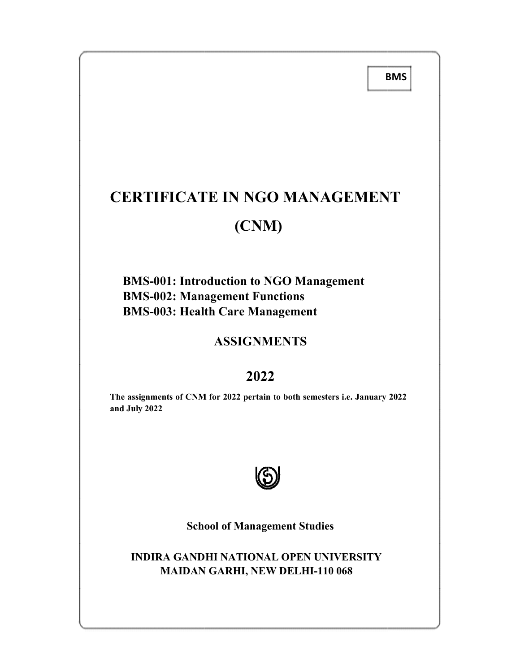BMS

# CERTIFICATE IN NGO MANAGEMENT (CNM) CERTIFICATE IN NGO MANAGEMENT<br>
(CNM)<br>
BMS-001: Introduction to NGO Management<br>
BMS-002: Management Functions<br>
BMS-003: Health Care Management<br>
ASSIGNMENTS<br>
2022<br>
The assignments of CNM for 2022 pertain to both semesters i.

## BMS-001: Introduction to NGO Management<br>
BMS-002: Management Functions<br>
BMS-003: Health Care Management<br>
ASSIGNMENTS BMS-002: Management Functions BMS-003: Health Care Management

### 2022

The assignments of CNM for 2022 pertain to both semesters i.e. January 2022  $\qquad$ and July 2022



School of Management Studies

INDIRA GANDHI NATIONAL OPEN UNIVERSITY :A GANDHI NATIONAL OPEN UNIVERSITY<br>MAIDAN GARHI, NEW DELHI-110 068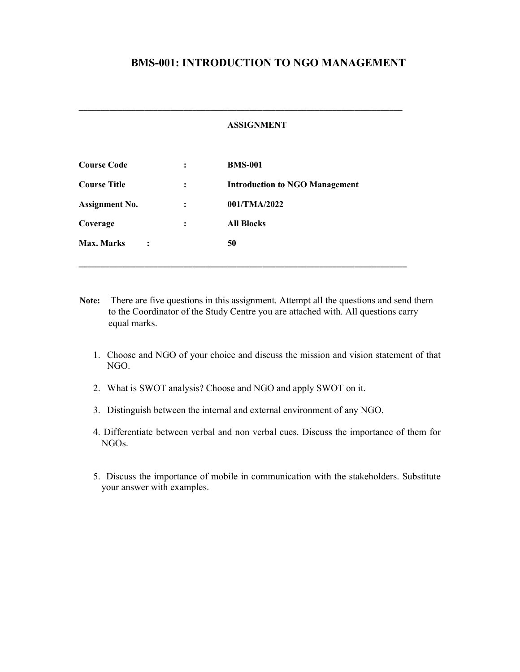#### BMS-001: INTRODUCTION TO NGO MANAGEMENT

#### ASSIGNMENT

\_\_\_\_\_\_\_\_\_\_\_\_\_\_\_\_\_\_\_\_\_\_\_\_\_\_\_\_\_\_\_\_\_\_\_\_\_\_\_\_\_\_\_\_\_\_\_\_\_\_\_\_\_\_\_\_\_\_\_\_\_\_\_\_\_\_\_\_\_\_\_\_\_\_

| <b>Course Code</b>    |                | $\ddot{\cdot}$ | <b>BMS-001</b>                        |
|-----------------------|----------------|----------------|---------------------------------------|
| <b>Course Title</b>   |                | $\ddot{\cdot}$ | <b>Introduction to NGO Management</b> |
| <b>Assignment No.</b> |                | $\ddot{\cdot}$ | 001/TMA/2022                          |
| Coverage              |                | $\ddot{\cdot}$ | <b>All Blocks</b>                     |
| <b>Max. Marks</b>     | $\ddot{\cdot}$ |                | 50                                    |

Note: There are five questions in this assignment. Attempt all the questions and send them to the Coordinator of the Study Centre you are attached with. All questions carry equal marks.

\_\_\_\_\_\_\_\_\_\_\_\_\_\_\_\_\_\_\_\_\_\_\_\_\_\_\_\_\_\_\_\_\_\_\_\_\_\_\_\_\_\_\_\_\_\_\_\_\_\_\_\_\_\_\_\_\_\_\_\_\_\_\_\_\_\_\_\_\_\_\_\_\_\_\_

- 1. Choose and NGO of your choice and discuss the mission and vision statement of that NGO.
- 2. What is SWOT analysis? Choose and NGO and apply SWOT on it.
- 3. Distinguish between the internal and external environment of any NGO.
- 4. Differentiate between verbal and non verbal cues. Discuss the importance of them for NGOs.
- 5. Discuss the importance of mobile in communication with the stakeholders. Substitute your answer with examples.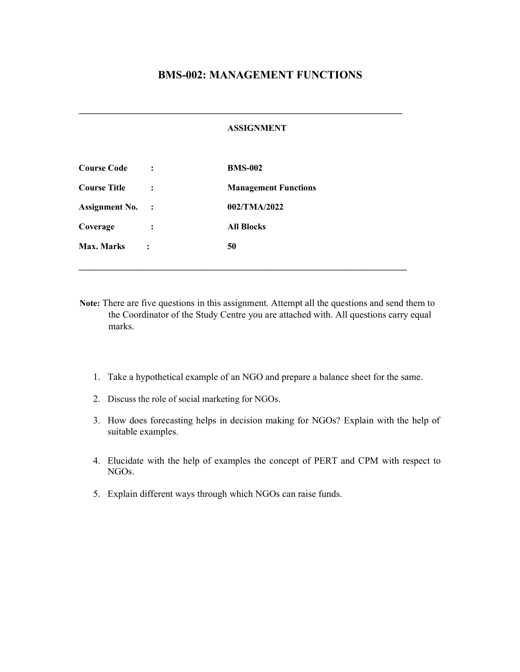#### BMS-002: MANAGEMENT FUNCTIONS

#### ASSIGNMENT

\_\_\_\_\_\_\_\_\_\_\_\_\_\_\_\_\_\_\_\_\_\_\_\_\_\_\_\_\_\_\_\_\_\_\_\_\_\_\_\_\_\_\_\_\_\_\_\_\_\_\_\_\_\_\_\_\_\_\_\_\_\_\_\_\_\_\_\_\_\_\_\_\_\_

| <b>Course Code</b>    |                      | <b>BMS-002</b>              |
|-----------------------|----------------------|-----------------------------|
| <b>Course Title</b>   |                      | <b>Management Functions</b> |
| <b>Assignment No.</b> | $\ddot{\phantom{1}}$ | 002/TMA/2022                |
| Coverage              |                      | <b>All Blocks</b>           |
| Max. Marks            |                      | 50                          |

Note: There are five questions in this assignment. Attempt all the questions and send them to the Coordinator of the Study Centre you are attached with. All questions carry equal marks.

\_\_\_\_\_\_\_\_\_\_\_\_\_\_\_\_\_\_\_\_\_\_\_\_\_\_\_\_\_\_\_\_\_\_\_\_\_\_\_\_\_\_\_\_\_\_\_\_\_\_\_\_\_\_\_\_\_\_\_\_\_\_\_\_\_\_\_\_\_\_\_\_\_\_\_

- 1. Take a hypothetical example of an NGO and prepare a balance sheet for the same.
- 2. Discuss the role of social marketing for NGOs.
- 3. How does forecasting helps in decision making for NGOs? Explain with the help of suitable examples.
- 4. Elucidate with the help of examples the concept of PERT and CPM with respect to NGOs.
- 5. Explain different ways through which NGOs can raise funds.